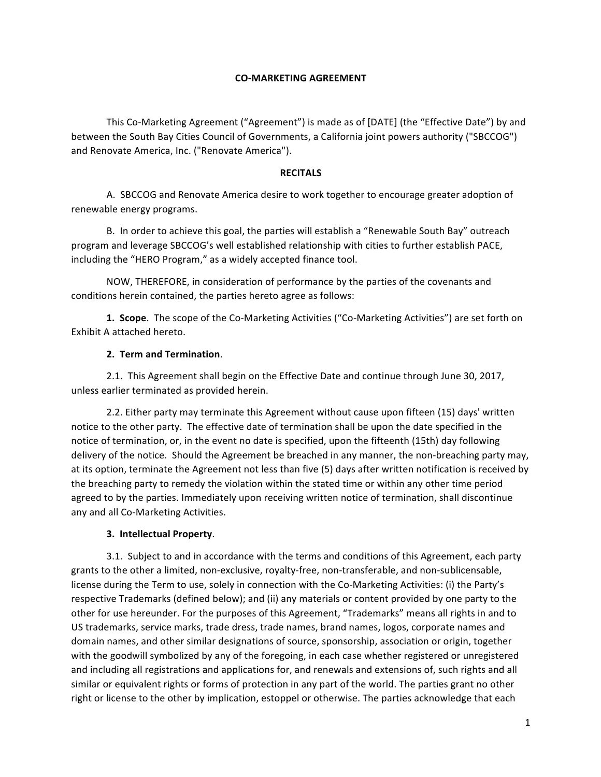#### **CO-MARKETING AGREEMENT**

This Co-Marketing Agreement ("Agreement") is made as of [DATE] (the "Effective Date") by and between the South Bay Cities Council of Governments, a California joint powers authority ("SBCCOG") and Renovate America, Inc. ("Renovate America").

#### **RECITALS**

A. SBCCOG and Renovate America desire to work together to encourage greater adoption of renewable energy programs.

B. In order to achieve this goal, the parties will establish a "Renewable South Bay" outreach program and leverage SBCCOG's well established relationship with cities to further establish PACE, including the "HERO Program," as a widely accepted finance tool.

NOW, THEREFORE, in consideration of performance by the parties of the covenants and conditions herein contained, the parties hereto agree as follows:

**1. Scope**. The scope of the Co-Marketing Activities ("Co-Marketing Activities") are set forth on Exhibit A attached hereto.

# **2. Term and Termination**.

2.1. This Agreement shall begin on the Effective Date and continue through June 30, 2017, unless earlier terminated as provided herein.

2.2. Either party may terminate this Agreement without cause upon fifteen (15) days' written notice to the other party. The effective date of termination shall be upon the date specified in the notice of termination, or, in the event no date is specified, upon the fifteenth (15th) day following delivery of the notice. Should the Agreement be breached in any manner, the non-breaching party may, at its option, terminate the Agreement not less than five (5) days after written notification is received by the breaching party to remedy the violation within the stated time or within any other time period agreed to by the parties. Immediately upon receiving written notice of termination, shall discontinue any and all Co-Marketing Activities.

#### **3. Intellectual Property**.

3.1. Subject to and in accordance with the terms and conditions of this Agreement, each party grants to the other a limited, non-exclusive, royalty-free, non-transferable, and non-sublicensable, license during the Term to use, solely in connection with the Co-Marketing Activities: (i) the Party's respective Trademarks (defined below); and (ii) any materials or content provided by one party to the other for use hereunder. For the purposes of this Agreement, "Trademarks" means all rights in and to US trademarks, service marks, trade dress, trade names, brand names, logos, corporate names and domain names, and other similar designations of source, sponsorship, association or origin, together with the goodwill symbolized by any of the foregoing, in each case whether registered or unregistered and including all registrations and applications for, and renewals and extensions of, such rights and all similar or equivalent rights or forms of protection in any part of the world. The parties grant no other right or license to the other by implication, estoppel or otherwise. The parties acknowledge that each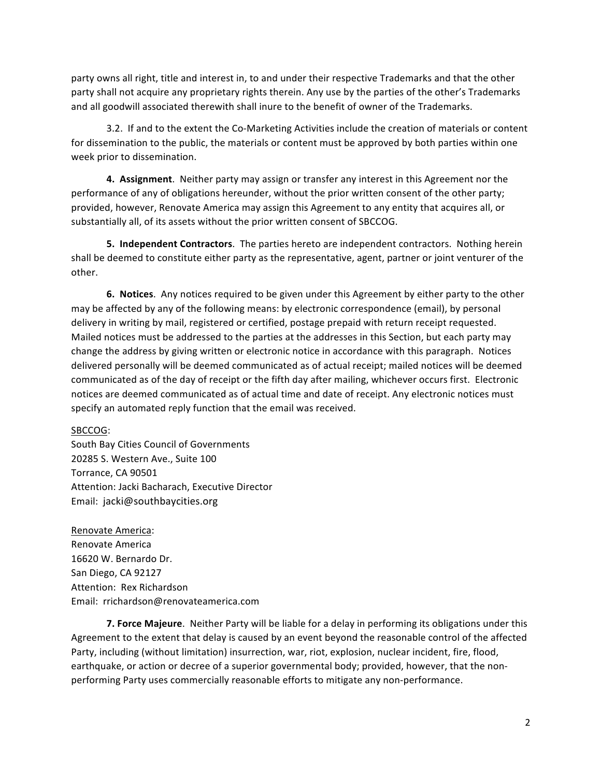party owns all right, title and interest in, to and under their respective Trademarks and that the other party shall not acquire any proprietary rights therein. Any use by the parties of the other's Trademarks and all goodwill associated therewith shall inure to the benefit of owner of the Trademarks.

3.2. If and to the extent the Co-Marketing Activities include the creation of materials or content for dissemination to the public, the materials or content must be approved by both parties within one week prior to dissemination.

**4. Assignment**. Neither party may assign or transfer any interest in this Agreement nor the performance of any of obligations hereunder, without the prior written consent of the other party; provided, however, Renovate America may assign this Agreement to any entity that acquires all, or substantially all, of its assets without the prior written consent of SBCCOG.

**5. Independent Contractors**. The parties hereto are independent contractors. Nothing herein shall be deemed to constitute either party as the representative, agent, partner or joint venturer of the other.

**6.** Notices. Any notices required to be given under this Agreement by either party to the other may be affected by any of the following means: by electronic correspondence (email), by personal delivery in writing by mail, registered or certified, postage prepaid with return receipt requested. Mailed notices must be addressed to the parties at the addresses in this Section, but each party may change the address by giving written or electronic notice in accordance with this paragraph. Notices delivered personally will be deemed communicated as of actual receipt; mailed notices will be deemed communicated as of the day of receipt or the fifth day after mailing, whichever occurs first. Electronic notices are deemed communicated as of actual time and date of receipt. Any electronic notices must specify an automated reply function that the email was received.

#### SBCCOG:

South Bay Cities Council of Governments 20285 S. Western Ave., Suite 100 Torrance, CA 90501 Attention: Jacki Bacharach, Executive Director Email: jacki@southbaycities.org

Renovate America: Renovate America 16620 W. Bernardo Dr. San Diego, CA 92127 Attention: Rex Richardson Email: rrichardson@renovateamerica.com

**7. Force Majeure**. Neither Party will be liable for a delay in performing its obligations under this Agreement to the extent that delay is caused by an event beyond the reasonable control of the affected Party, including (without limitation) insurrection, war, riot, explosion, nuclear incident, fire, flood, earthquake, or action or decree of a superior governmental body; provided, however, that the nonperforming Party uses commercially reasonable efforts to mitigate any non-performance.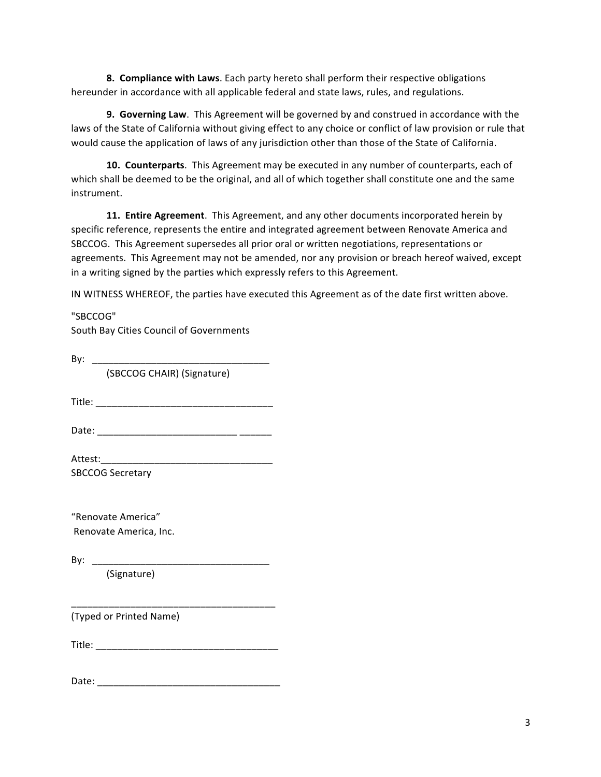**8. Compliance with Laws**. Each party hereto shall perform their respective obligations hereunder in accordance with all applicable federal and state laws, rules, and regulations.

**9. Governing Law**. This Agreement will be governed by and construed in accordance with the laws of the State of California without giving effect to any choice or conflict of law provision or rule that would cause the application of laws of any jurisdiction other than those of the State of California.

**10. Counterparts**. This Agreement may be executed in any number of counterparts, each of which shall be deemed to be the original, and all of which together shall constitute one and the same instrument.

**11. Entire Agreement**. This Agreement, and any other documents incorporated herein by specific reference, represents the entire and integrated agreement between Renovate America and SBCCOG. This Agreement supersedes all prior oral or written negotiations, representations or agreements. This Agreement may not be amended, nor any provision or breach hereof waived, except in a writing signed by the parties which expressly refers to this Agreement.

IN WITNESS WHEREOF, the parties have executed this Agreement as of the date first written above.

"SBCCOG" South Bay Cities Council of Governments By: \_\_\_\_\_\_\_\_\_\_\_\_\_

(SBCCOG CHAIR) (Signature) 

Title: \_\_\_\_\_\_\_\_\_\_\_\_\_\_\_\_\_\_\_\_\_\_\_\_\_\_\_\_\_\_\_\_\_ 

Date: \_\_\_\_\_\_\_\_\_\_\_\_\_\_\_\_\_\_\_\_\_\_\_\_\_\_ \_\_\_\_\_\_

Attest:\_\_\_\_\_\_\_\_\_\_\_\_\_\_\_\_\_\_\_\_\_\_\_\_\_\_\_\_\_\_\_\_ SBCCOG Secretary

"Renovate America" Renovate America, Inc.

By:  $\overline{\phantom{a}}$ 

(Signature) 

(Typed or Printed Name) 

Title: \_\_\_\_\_\_\_\_\_\_\_\_\_\_\_\_\_\_\_\_\_\_\_\_\_\_\_\_\_\_\_\_\_\_ 

\_\_\_\_\_\_\_\_\_\_\_\_\_\_\_\_\_\_\_\_\_\_\_\_\_\_\_\_\_\_\_\_\_\_\_\_\_\_ 

Date: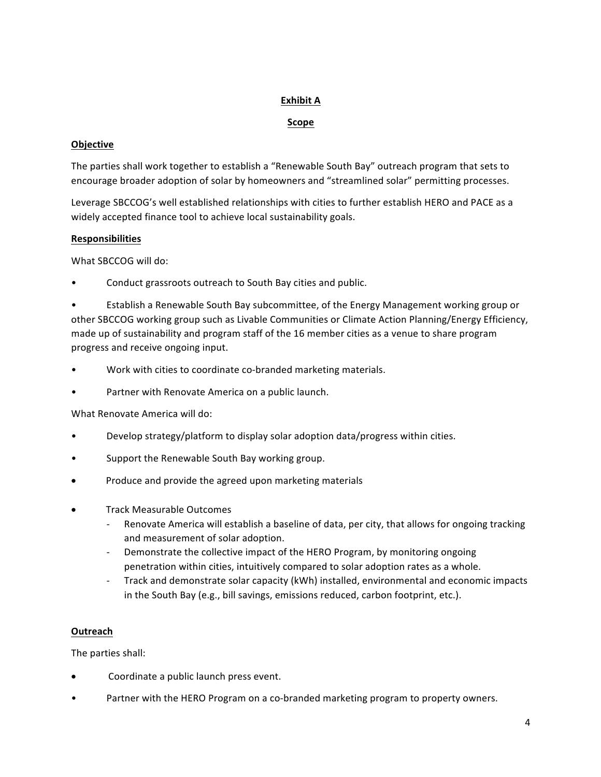# **Exhibit A**

# **Scope**

#### **Objective**

The parties shall work together to establish a "Renewable South Bay" outreach program that sets to encourage broader adoption of solar by homeowners and "streamlined solar" permitting processes.

Leverage SBCCOG's well established relationships with cities to further establish HERO and PACE as a widely accepted finance tool to achieve local sustainability goals.

# **Responsibilities**

What SBCCOG will do:

Conduct grassroots outreach to South Bay cities and public.

Establish a Renewable South Bay subcommittee, of the Energy Management working group or other SBCCOG working group such as Livable Communities or Climate Action Planning/Energy Efficiency, made up of sustainability and program staff of the 16 member cities as a venue to share program progress and receive ongoing input.

- Work with cities to coordinate co-branded marketing materials.
- Partner with Renovate America on a public launch.

What Renovate America will do:

- Develop strategy/platform to display solar adoption data/progress within cities.
- Support the Renewable South Bay working group.
- Produce and provide the agreed upon marketing materials
- **Track Measurable Outcomes** 
	- Renovate America will establish a baseline of data, per city, that allows for ongoing tracking and measurement of solar adoption.
	- Demonstrate the collective impact of the HERO Program, by monitoring ongoing penetration within cities, intuitively compared to solar adoption rates as a whole.
	- Track and demonstrate solar capacity (kWh) installed, environmental and economic impacts in the South Bay (e.g., bill savings, emissions reduced, carbon footprint, etc.).

# **Outreach**

The parties shall:

- Coordinate a public launch press event.
- Partner with the HERO Program on a co-branded marketing program to property owners.